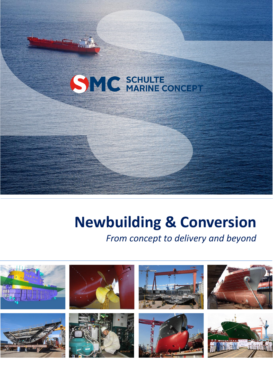# SMC SCHULTE CONCEPT

**c** 

## **Newbuilding & Conversion**

### *From concept to delivery and beyond*